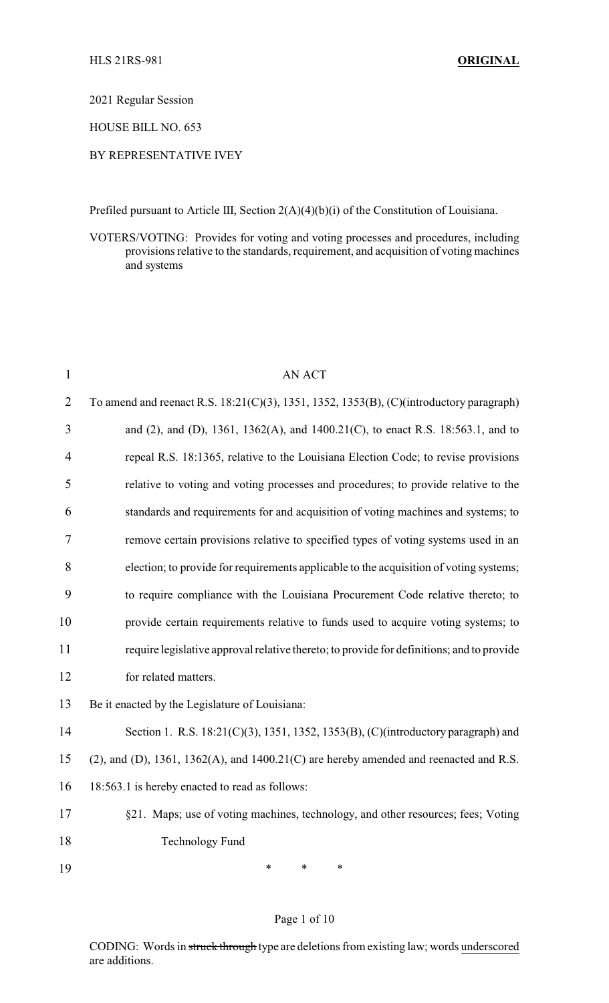2021 Regular Session

HOUSE BILL NO. 653

#### BY REPRESENTATIVE IVEY

Prefiled pursuant to Article III, Section 2(A)(4)(b)(i) of the Constitution of Louisiana.

VOTERS/VOTING: Provides for voting and voting processes and procedures, including provisions relative to the standards, requirement, and acquisition of voting machines and systems

| 1              | <b>AN ACT</b>                                                                                      |
|----------------|----------------------------------------------------------------------------------------------------|
| $\overline{2}$ | To amend and reenact R.S. 18:21(C)(3), 1351, 1352, 1353(B), (C)(introductory paragraph)            |
| 3              | and (2), and (D), 1361, 1362(A), and 1400.21(C), to enact R.S. 18:563.1, and to                    |
| $\overline{4}$ | repeal R.S. 18:1365, relative to the Louisiana Election Code; to revise provisions                 |
| 5              | relative to voting and voting processes and procedures; to provide relative to the                 |
| 6              | standards and requirements for and acquisition of voting machines and systems; to                  |
| 7              | remove certain provisions relative to specified types of voting systems used in an                 |
| 8              | election; to provide for requirements applicable to the acquisition of voting systems;             |
| 9              | to require compliance with the Louisiana Procurement Code relative thereto; to                     |
| 10             | provide certain requirements relative to funds used to acquire voting systems; to                  |
| 11             | require legislative approval relative thereto; to provide for definitions; and to provide          |
| 12             | for related matters.                                                                               |
| 13             | Be it enacted by the Legislature of Louisiana:                                                     |
| 14             | Section 1. R.S. 18:21(C)(3), 1351, 1352, 1353(B), (C)(introductory paragraph) and                  |
| 15             | $(2)$ , and $(D)$ , 1361, 1362 $(A)$ , and 1400.21 $(C)$ are hereby amended and reenacted and R.S. |
| 16             | 18:563.1 is hereby enacted to read as follows:                                                     |
| 17             | §21. Maps; use of voting machines, technology, and other resources; fees; Voting                   |
| 18             | <b>Technology Fund</b>                                                                             |
| 19             | $\ast$<br>$\ast$<br>$\ast$                                                                         |
|                |                                                                                                    |

#### Page 1 of 10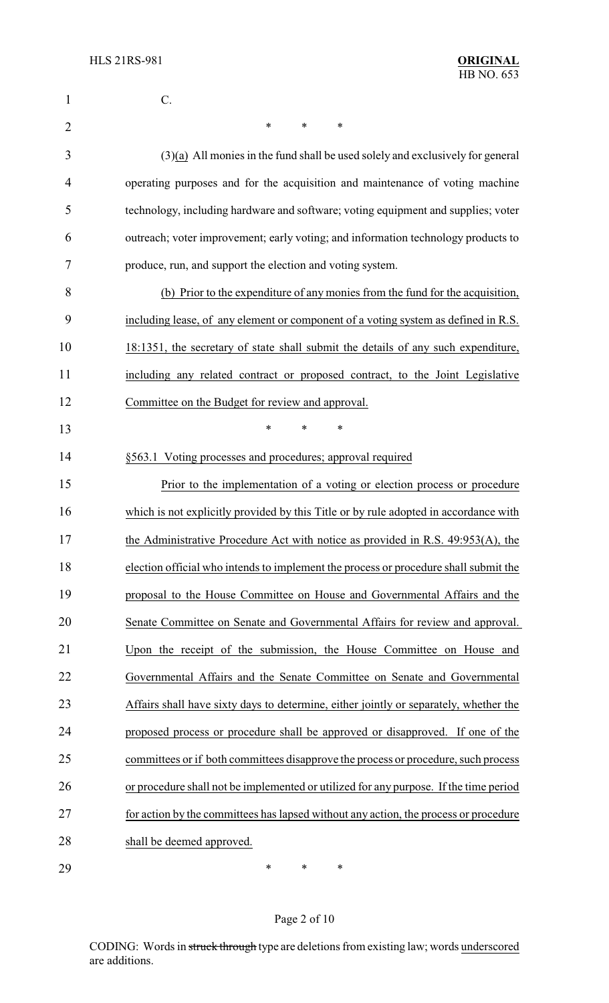| 1              | C.                                                                                    |
|----------------|---------------------------------------------------------------------------------------|
| $\overline{2}$ | *<br>∗<br>∗                                                                           |
| 3              | $(3)(a)$ All monies in the fund shall be used solely and exclusively for general      |
| $\overline{4}$ | operating purposes and for the acquisition and maintenance of voting machine          |
| 5              | technology, including hardware and software; voting equipment and supplies; voter     |
| 6              | outreach; voter improvement; early voting; and information technology products to     |
| 7              | produce, run, and support the election and voting system.                             |
| 8              | (b) Prior to the expenditure of any monies from the fund for the acquisition,         |
| 9              | including lease, of any element or component of a voting system as defined in R.S.    |
| 10             | 18:1351, the secretary of state shall submit the details of any such expenditure,     |
| 11             | including any related contract or proposed contract, to the Joint Legislative         |
| 12             | Committee on the Budget for review and approval.                                      |
| 13             | $\ast$<br>*<br>*                                                                      |
| 14             | §563.1 Voting processes and procedures; approval required                             |
| 15             | Prior to the implementation of a voting or election process or procedure              |
| 16             | which is not explicitly provided by this Title or by rule adopted in accordance with  |
| 17             | the Administrative Procedure Act with notice as provided in R.S. 49:953(A), the       |
| 18             | election official who intends to implement the process or procedure shall submit the  |
| 19             | proposal to the House Committee on House and Governmental Affairs and the             |
| 20             | Senate Committee on Senate and Governmental Affairs for review and approval.          |
| 21             | Upon the receipt of the submission, the House Committee on House and                  |
| 22             | Governmental Affairs and the Senate Committee on Senate and Governmental              |
| 23             | Affairs shall have sixty days to determine, either jointly or separately, whether the |
| 24             | proposed process or procedure shall be approved or disapproved. If one of the         |
| 25             | committees or if both committees disapprove the process or procedure, such process    |
| 26             | or procedure shall not be implemented or utilized for any purpose. If the time period |
| 27             | for action by the committees has lapsed without any action, the process or procedure  |
| 28             | shall be deemed approved.                                                             |
| 29             | ∗<br>∗<br>∗                                                                           |

Page 2 of 10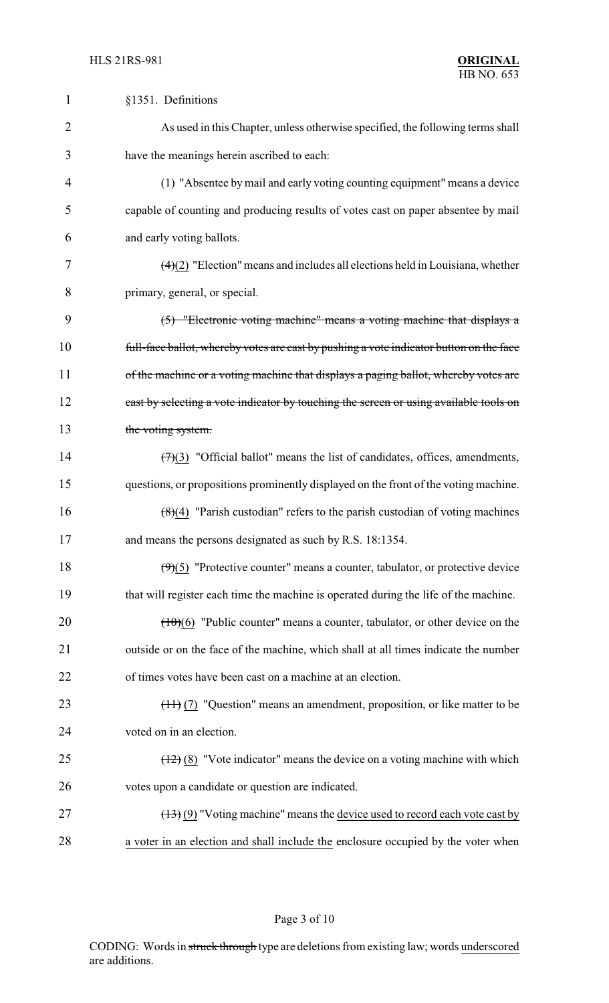| $\mathbf{1}$   | §1351. Definitions                                                                                |
|----------------|---------------------------------------------------------------------------------------------------|
| $\overline{2}$ | As used in this Chapter, unless otherwise specified, the following terms shall                    |
| 3              | have the meanings herein ascribed to each:                                                        |
| 4              | (1) "Absentee by mail and early voting counting equipment" means a device                         |
| 5              | capable of counting and producing results of votes cast on paper absentee by mail                 |
| 6              | and early voting ballots.                                                                         |
| 7              | $\left(\frac{4}{2}\right)$ "Election" means and includes all elections held in Louisiana, whether |
| 8              | primary, general, or special.                                                                     |
| 9              | (5) "Electronic voting machine" means a voting machine that displays a                            |
| 10             | full-face ballot, whereby votes are cast by pushing a vote indicator button on the face           |
| 11             | of the machine or a voting machine that displays a paging ballot, whereby votes are               |
| 12             | cast by selecting a vote indicator by touching the screen or using available tools on             |
| 13             | the voting system.                                                                                |
| 14             | $(7)(3)$ "Official ballot" means the list of candidates, offices, amendments,                     |
| 15             | questions, or propositions prominently displayed on the front of the voting machine.              |
| 16             | $(8)(4)$ "Parish custodian" refers to the parish custodian of voting machines                     |
| 17             | and means the persons designated as such by R.S. 18:1354.                                         |
| 18             | $(9)(5)$ "Protective counter" means a counter, tabulator, or protective device                    |
| 19             | that will register each time the machine is operated during the life of the machine.              |
| 20             | $(10)(6)$ "Public counter" means a counter, tabulator, or other device on the                     |
| 21             | outside or on the face of the machine, which shall at all times indicate the number               |
| 22             | of times votes have been cast on a machine at an election.                                        |
| 23             | $(\pm 1)$ (7) "Question" means an amendment, proposition, or like matter to be                    |
| 24             | voted on in an election.                                                                          |
| 25             | $(12)$ (8) "Vote indicator" means the device on a voting machine with which                       |
| 26             | votes upon a candidate or question are indicated.                                                 |
| 27             | $(13)(9)$ "Voting machine" means the device used to record each vote cast by                      |
| 28             | a voter in an election and shall include the enclosure occupied by the voter when                 |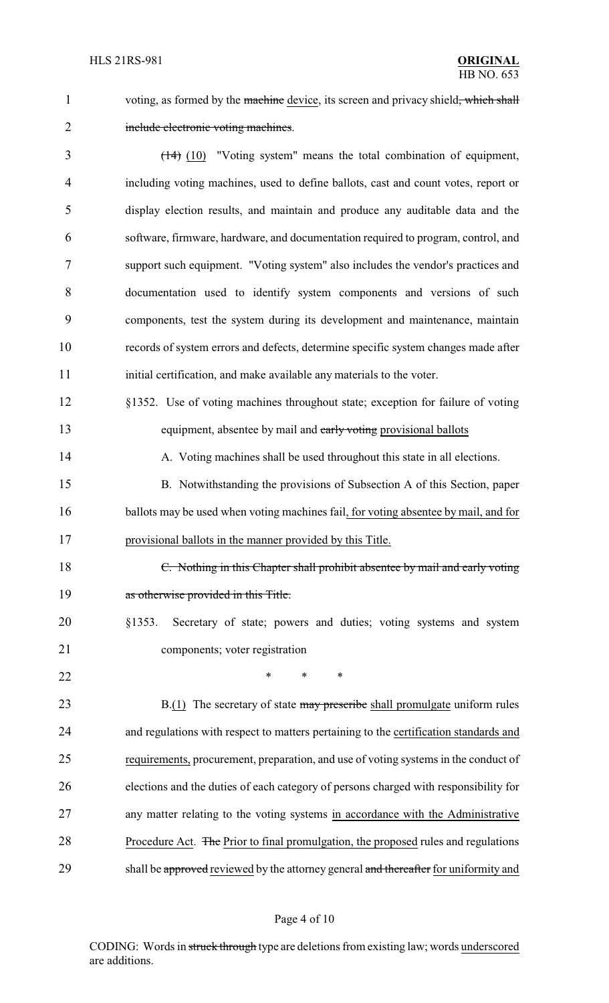1 voting, as formed by the machine device, its screen and privacy shield, which shall

## 2 include electronic voting machines.

3 (14) (10) "Voting system" means the total combination of equipment, including voting machines, used to define ballots, cast and count votes, report or display election results, and maintain and produce any auditable data and the software, firmware, hardware, and documentation required to program, control, and support such equipment. "Voting system" also includes the vendor's practices and documentation used to identify system components and versions of such components, test the system during its development and maintenance, maintain records of system errors and defects, determine specific system changes made after 11 initial certification, and make available any materials to the voter.

- 12 §1352. Use of voting machines throughout state; exception for failure of voting 13 equipment, absentee by mail and early voting provisional ballots
- 14 A. Voting machines shall be used throughout this state in all elections.

15 B. Notwithstanding the provisions of Subsection A of this Section, paper 16 ballots may be used when voting machines fail, for voting absentee by mail, and for 17 provisional ballots in the manner provided by this Title.

- 18 C. Nothing in this Chapter shall prohibit absentee by mail and early voting 19 as otherwise provided in this Title.
- 20 §1353. Secretary of state; powers and duties; voting systems and system 21 components; voter registration
- 22 **\*** \* \* \*

23 B.(1) The secretary of state may prescribe shall promulgate uniform rules 24 and regulations with respect to matters pertaining to the certification standards and 25 requirements, procurement, preparation, and use of voting systems in the conduct of 26 elections and the duties of each category of persons charged with responsibility for 27 any matter relating to the voting systems in accordance with the Administrative 28 Procedure Act. The Prior to final promulgation, the proposed rules and regulations 29 shall be approved reviewed by the attorney general and thereafter for uniformity and

#### Page 4 of 10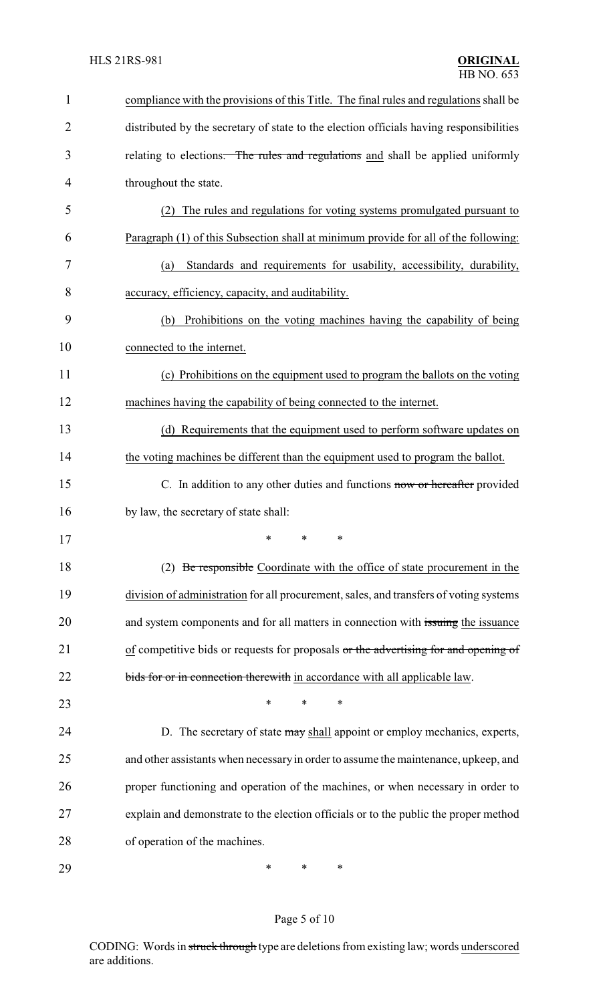| 1              | compliance with the provisions of this Title. The final rules and regulations shall be  |
|----------------|-----------------------------------------------------------------------------------------|
| $\overline{2}$ | distributed by the secretary of state to the election officials having responsibilities |
| 3              | relating to elections. The rules and regulations and shall be applied uniformly         |
| 4              | throughout the state.                                                                   |
| 5              | The rules and regulations for voting systems promulgated pursuant to<br>(2)             |
| 6              | Paragraph (1) of this Subsection shall at minimum provide for all of the following:     |
| 7              | Standards and requirements for usability, accessibility, durability,<br>(a)             |
| 8              | accuracy, efficiency, capacity, and auditability.                                       |
| 9              | Prohibitions on the voting machines having the capability of being<br>(b)               |
| 10             | connected to the internet.                                                              |
| 11             | (c) Prohibitions on the equipment used to program the ballots on the voting             |
| 12             | machines having the capability of being connected to the internet.                      |
| 13             | (d) Requirements that the equipment used to perform software updates on                 |
| 14             | the voting machines be different than the equipment used to program the ballot.         |
| 15             | C. In addition to any other duties and functions now or hereafter provided              |
| 16             | by law, the secretary of state shall:                                                   |
| 17             |                                                                                         |
| 18             | (2) Be responsible Coordinate with the office of state procurement in the               |
| 19             | division of administration for all procurement, sales, and transfers of voting systems  |
| 20             | and system components and for all matters in connection with issuing the issuance       |
| 21             | of competitive bids or requests for proposals or the advertising for and opening of     |
| 22             | bids for or in connection therewith in accordance with all applicable law.              |
| 23             | ∗<br>*<br>∗                                                                             |
| 24             | D. The secretary of state may shall appoint or employ mechanics, experts,               |
| 25             | and other assistants when necessary in order to assume the maintenance, upkeep, and     |
| 26             | proper functioning and operation of the machines, or when necessary in order to         |
| 27             | explain and demonstrate to the election officials or to the public the proper method    |
| 28             | of operation of the machines.                                                           |
| 29             | ∗<br>∗<br>∗                                                                             |

# Page 5 of 10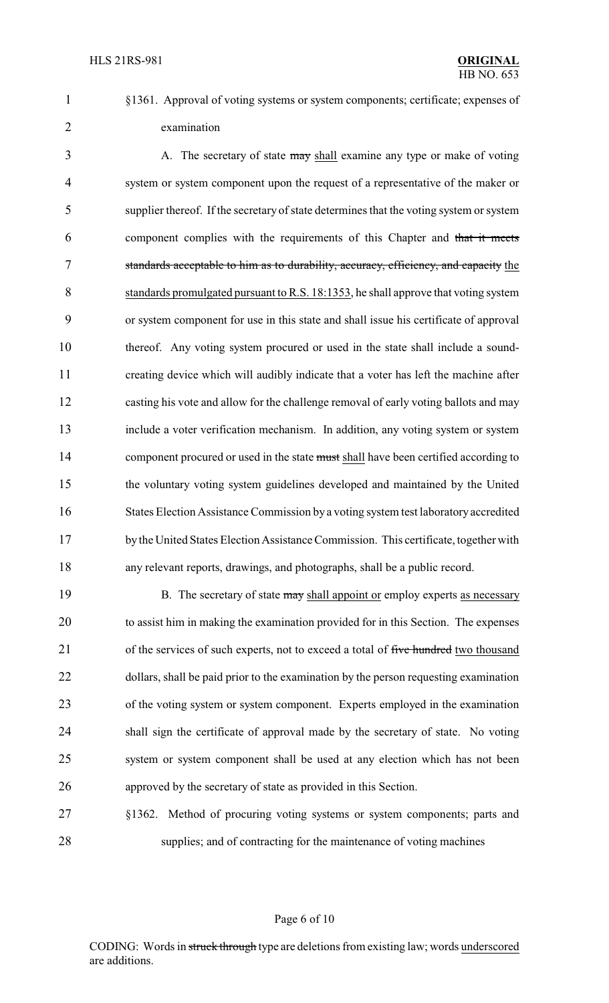§1361. Approval of voting systems or system components; certificate; expenses of examination

3 A. The secretary of state may shall examine any type or make of voting system or system component upon the request of a representative of the maker or supplier thereof. If the secretary of state determines that the voting system or system component complies with the requirements of this Chapter and that it meets standards acceptable to him as to durability, accuracy, efficiency, and capacity the standards promulgated pursuant to R.S. 18:1353, he shall approve that voting system or system component for use in this state and shall issue his certificate of approval thereof. Any voting system procured or used in the state shall include a sound- creating device which will audibly indicate that a voter has left the machine after casting his vote and allow for the challenge removal of early voting ballots and may include a voter verification mechanism. In addition, any voting system or system 14 component procured or used in the state must shall have been certified according to the voluntary voting system guidelines developed and maintained by the United States Election Assistance Commission by a voting system test laboratory accredited by the United States Election Assistance Commission. This certificate, together with any relevant reports, drawings, and photographs, shall be a public record.

19 B. The secretary of state may shall appoint or employ experts as necessary to assist him in making the examination provided for in this Section. The expenses 21 of the services of such experts, not to exceed a total of five hundred two thousand 22 dollars, shall be paid prior to the examination by the person requesting examination of the voting system or system component. Experts employed in the examination shall sign the certificate of approval made by the secretary of state. No voting system or system component shall be used at any election which has not been approved by the secretary of state as provided in this Section.

 §1362. Method of procuring voting systems or system components; parts and supplies; and of contracting for the maintenance of voting machines

#### Page 6 of 10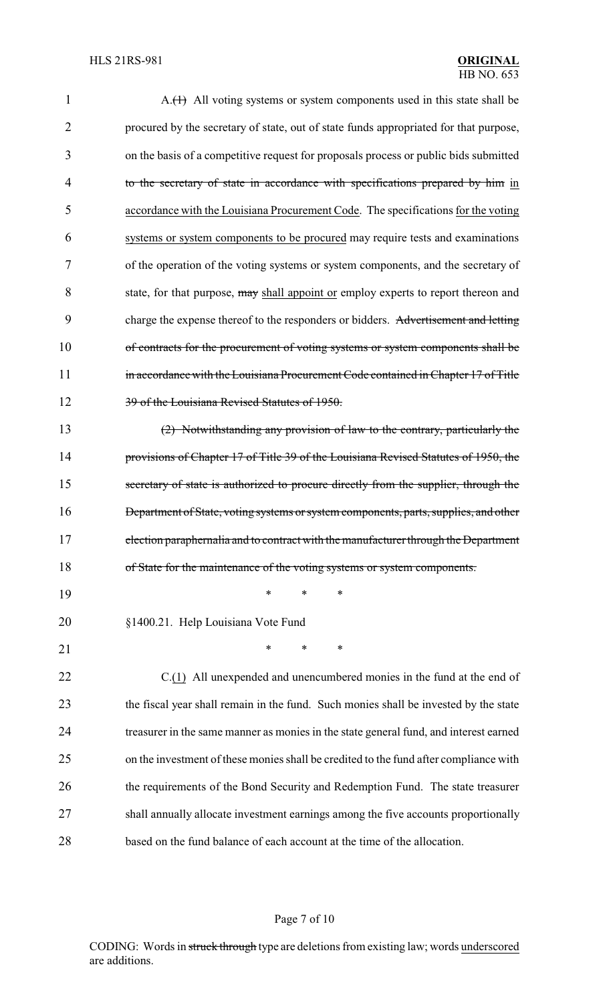| 1              | A.(1) All voting systems or system components used in this state shall be             |
|----------------|---------------------------------------------------------------------------------------|
| $\overline{2}$ | procured by the secretary of state, out of state funds appropriated for that purpose, |
| 3              | on the basis of a competitive request for proposals process or public bids submitted  |
| 4              | to the secretary of state in accordance with specifications prepared by him in        |
| 5              | accordance with the Louisiana Procurement Code. The specifications for the voting     |
| 6              | systems or system components to be procured may require tests and examinations        |
| 7              | of the operation of the voting systems or system components, and the secretary of     |
| 8              | state, for that purpose, may shall appoint or employ experts to report thereon and    |
| 9              | charge the expense thereof to the responders or bidders. Advertisement and letting    |
| 10             | of contracts for the procurement of voting systems or system components shall be      |
| 11             | in accordance with the Louisiana Procurement Code contained in Chapter 17 of Title    |
| 12             | 39 of the Louisiana Revised Statutes of 1950.                                         |
| 13             | (2) Notwithstanding any provision of law to the contrary, particularly the            |
| 14             | provisions of Chapter 17 of Title 39 of the Louisiana Revised Statutes of 1950, the   |
| 15             | secretary of state is authorized to procure directly from the supplier, through the   |
| 16             | Department of State, voting systems or system components, parts, supplies, and other  |
| 17             | election paraphernalia and to contract with the manufacturer through the Department   |
| 18             | of State for the maintenance of the voting systems or system components.              |
| 19             | ∗<br>*<br>∗                                                                           |
| 20             | §1400.21. Help Louisiana Vote Fund                                                    |
| 21             | *<br>*<br>$\ast$                                                                      |
| 22             | C.(1) All unexpended and unencumbered monies in the fund at the end of                |
| 23             | the fiscal year shall remain in the fund. Such monies shall be invested by the state  |
| 24             | treasurer in the same manner as monies in the state general fund, and interest earned |
| 25             | on the investment of these monies shall be credited to the fund after compliance with |
| 26             | the requirements of the Bond Security and Redemption Fund. The state treasurer        |
| 27             | shall annually allocate investment earnings among the five accounts proportionally    |
| 28             | based on the fund balance of each account at the time of the allocation.              |

# Page 7 of 10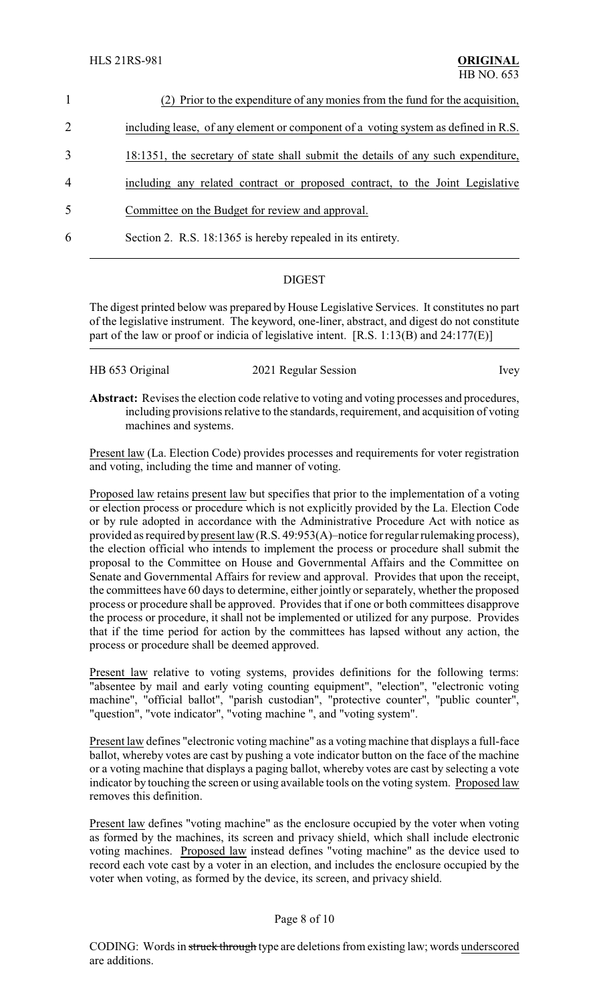| $\mathbf{1}$   | (2) Prior to the expenditure of any monies from the fund for the acquisition,      |
|----------------|------------------------------------------------------------------------------------|
| 2              | including lease, of any element or component of a voting system as defined in R.S. |
| 3              | 18:1351, the secretary of state shall submit the details of any such expenditure,  |
| $\overline{4}$ | including any related contract or proposed contract, to the Joint Legislative      |
| 5              | Committee on the Budget for review and approval.                                   |
| 6              | Section 2. R.S. 18:1365 is hereby repealed in its entirety.                        |
|                |                                                                                    |

### **DIGEST**

The digest printed below was prepared by House Legislative Services. It constitutes no part of the legislative instrument. The keyword, one-liner, abstract, and digest do not constitute part of the law or proof or indicia of legislative intent. [R.S. 1:13(B) and 24:177(E)]

|  | HB 653 Original | 2021 Regular Session | Ivey |
|--|-----------------|----------------------|------|
|--|-----------------|----------------------|------|

Abstract: Revises the election code relative to voting and voting processes and procedures, including provisions relative to the standards, requirement, and acquisition of voting machines and systems.

Present law (La. Election Code) provides processes and requirements for voter registration and voting, including the time and manner of voting.

Proposed law retains present law but specifies that prior to the implementation of a voting or election process or procedure which is not explicitly provided by the La. Election Code or by rule adopted in accordance with the Administrative Procedure Act with notice as provided as required by present law (R.S. 49:953(A)–notice for regular rulemaking process), the election official who intends to implement the process or procedure shall submit the proposal to the Committee on House and Governmental Affairs and the Committee on Senate and Governmental Affairs for review and approval. Provides that upon the receipt, the committees have 60 days to determine, either jointly or separately, whether the proposed process or procedure shall be approved. Provides that if one or both committees disapprove the process or procedure, it shall not be implemented or utilized for any purpose. Provides that if the time period for action by the committees has lapsed without any action, the process or procedure shall be deemed approved.

Present law relative to voting systems, provides definitions for the following terms: "absentee by mail and early voting counting equipment", "election", "electronic voting machine", "official ballot", "parish custodian", "protective counter", "public counter", "question", "vote indicator", "voting machine ", and "voting system".

Present law defines "electronic voting machine" as a voting machine that displays a full-face ballot, whereby votes are cast by pushing a vote indicator button on the face of the machine or a voting machine that displays a paging ballot, whereby votes are cast by selecting a vote indicator by touching the screen or using available tools on the voting system. Proposed law removes this definition.

Present law defines "voting machine" as the enclosure occupied by the voter when voting as formed by the machines, its screen and privacy shield, which shall include electronic voting machines. Proposed law instead defines "voting machine" as the device used to record each vote cast by a voter in an election, and includes the enclosure occupied by the voter when voting, as formed by the device, its screen, and privacy shield.

#### Page 8 of 10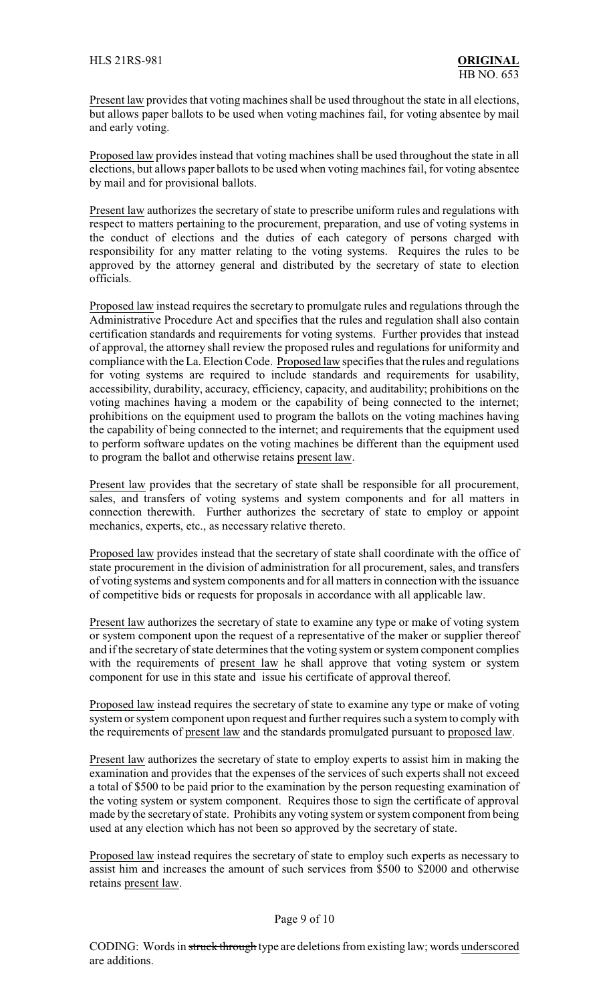Present law provides that voting machines shall be used throughout the state in all elections, but allows paper ballots to be used when voting machines fail, for voting absentee by mail and early voting.

Proposed law provides instead that voting machines shall be used throughout the state in all elections, but allows paper ballots to be used when voting machines fail, for voting absentee by mail and for provisional ballots.

Present law authorizes the secretary of state to prescribe uniform rules and regulations with respect to matters pertaining to the procurement, preparation, and use of voting systems in the conduct of elections and the duties of each category of persons charged with responsibility for any matter relating to the voting systems. Requires the rules to be approved by the attorney general and distributed by the secretary of state to election officials.

Proposed law instead requires the secretary to promulgate rules and regulations through the Administrative Procedure Act and specifies that the rules and regulation shall also contain certification standards and requirements for voting systems. Further provides that instead of approval, the attorney shall review the proposed rules and regulations for uniformity and compliance with the La. Election Code. Proposed law specifies that the rules and regulations for voting systems are required to include standards and requirements for usability, accessibility, durability, accuracy, efficiency, capacity, and auditability; prohibitions on the voting machines having a modem or the capability of being connected to the internet; prohibitions on the equipment used to program the ballots on the voting machines having the capability of being connected to the internet; and requirements that the equipment used to perform software updates on the voting machines be different than the equipment used to program the ballot and otherwise retains present law.

Present law provides that the secretary of state shall be responsible for all procurement, sales, and transfers of voting systems and system components and for all matters in connection therewith. Further authorizes the secretary of state to employ or appoint mechanics, experts, etc., as necessary relative thereto.

Proposed law provides instead that the secretary of state shall coordinate with the office of state procurement in the division of administration for all procurement, sales, and transfers of voting systems and system components and for all matters in connection with the issuance of competitive bids or requests for proposals in accordance with all applicable law.

Present law authorizes the secretary of state to examine any type or make of voting system or system component upon the request of a representative of the maker or supplier thereof and if the secretary of state determines that the voting system or system component complies with the requirements of present law he shall approve that voting system or system component for use in this state and issue his certificate of approval thereof.

Proposed law instead requires the secretary of state to examine any type or make of voting system or system component upon request and further requires such a system to complywith the requirements of present law and the standards promulgated pursuant to proposed law.

Present law authorizes the secretary of state to employ experts to assist him in making the examination and provides that the expenses of the services of such experts shall not exceed a total of \$500 to be paid prior to the examination by the person requesting examination of the voting system or system component. Requires those to sign the certificate of approval made by the secretary of state. Prohibits any voting system or system component from being used at any election which has not been so approved by the secretary of state.

Proposed law instead requires the secretary of state to employ such experts as necessary to assist him and increases the amount of such services from \$500 to \$2000 and otherwise retains present law.

#### Page 9 of 10